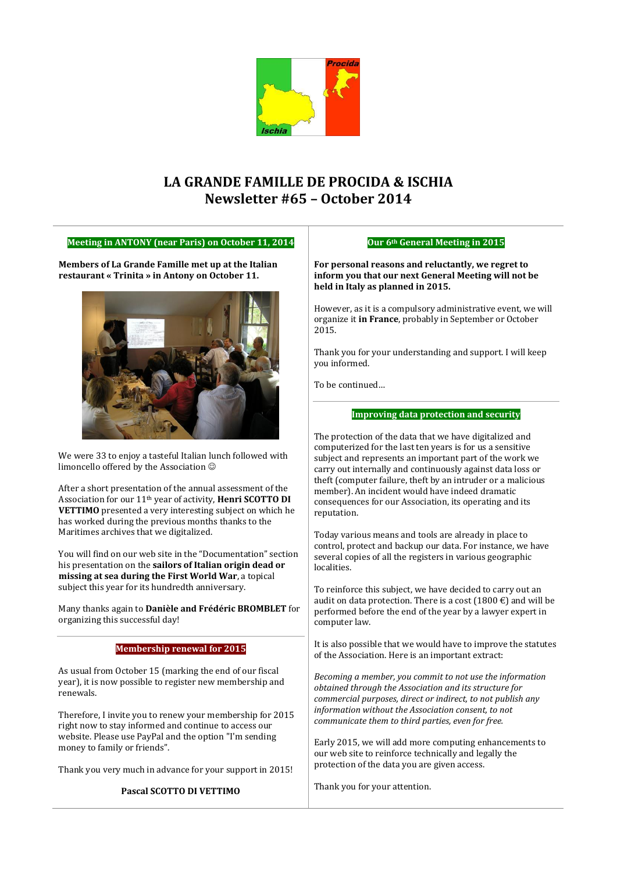

# **LA GRANDE FAMILLE DE PROCIDA & ISCHIA Newsletter #65 – October 2014**

### **Meeting in ANTONY (near Paris) on October 11, 2014**

**Members of La Grande Famille met up at the Italian restaurant « Trinita » in Antony on October 11.** 



We were 33 to enjoy a tasteful Italian lunch followed with limoncello offered by the Association

After a short presentation of the annual assessment of the Association for our 11th year of activity, **Henri SCOTTO DI VETTIMO** presented a very interesting subject on which he has worked during the previous months thanks to the Maritimes archives that we digitalized.

You will find on our web site in the "Documentation" section his presentation on the **sailors of Italian origin dead or missing at sea during the First World War**, a topical subject this year for its hundredth anniversary.

Many thanks again to **Danièle and Frédéric BROMBLET** for

#### organizing this successful day! **Membership renewal for 2015** As usual from October 15 (marking the end of our fiscal year), it is now possible to register new membership and renewals. Therefore, I invite you to renew your membership for 2015 right now to stay informed and continue to access our website. Please use PayPal and the option "I'm sending money to family or friends". Thank you very much in advance for your support in 2015! **Pascal SCOTTO DI VETTIMO** performed before the end of the year by a lawyer expert in computer law. It is also possible that we would have to improve the statutes of the Association. Here is an important extract: *Becoming a member, you commit to not use the information obtained through the Association and its structure for commercial purposes, direct or indirect, to not publish any information without the Association consent, to not communicate them to third parties, even for free.* Early 2015, we will add more computing enhancements to our web site to reinforce technically and legally the protection of the data you are given access. Thank you for your attention.

### **Our 6th General Meeting in 2015**

**For personal reasons and reluctantly, we regret to inform you that our next General Meeting will not be held in Italy as planned in 2015.**

However, as it is a compulsory administrative event, we will organize it **in France**, probably in September or October 2015.

Thank you for your understanding and support. I will keep you informed.

To be continued…

### **Improving data protection and security**

The protection of the data that we have digitalized and computerized for the last ten years is for us a sensitive subject and represents an important part of the work we carry out internally and continuously against data loss or theft (computer failure, theft by an intruder or a malicious member). An incident would have indeed dramatic consequences for our Association, its operating and its reputation.

Today various means and tools are already in place to control, protect and backup our data. For instance, we have several copies of all the registers in various geographic localities.

To reinforce this subject, we have decided to carry out an audit on data protection. There is a cost (1800  $\epsilon$ ) and will be